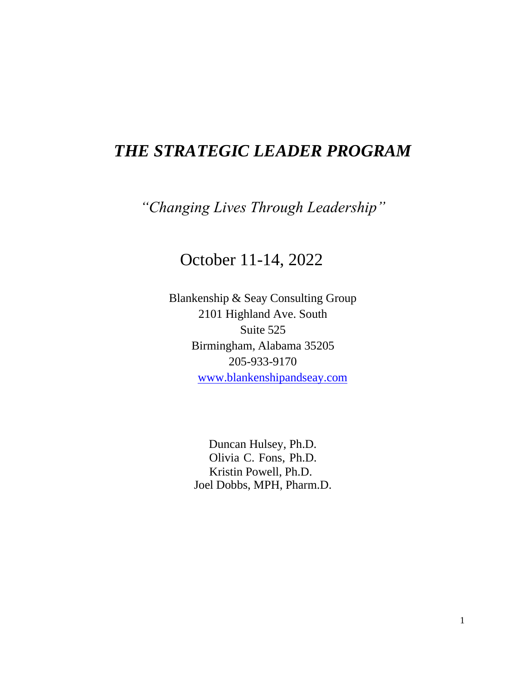## *THE STRATEGIC LEADER PROGRAM*

*"Changing Lives Through Leadership"*

## October 11-14, 2022

Blankenship & Seay Consulting Group 2101 Highland Ave. South Suite 525 Birmingham, Alabama 35205 205-933-9170 [www.blankenshipandseay.com](http://www.blankenshipandseay.com/)

> Duncan Hulsey, Ph.D. Olivia C. Fons, Ph.D. Kristin Powell, Ph.D. Joel Dobbs, MPH, Pharm.D.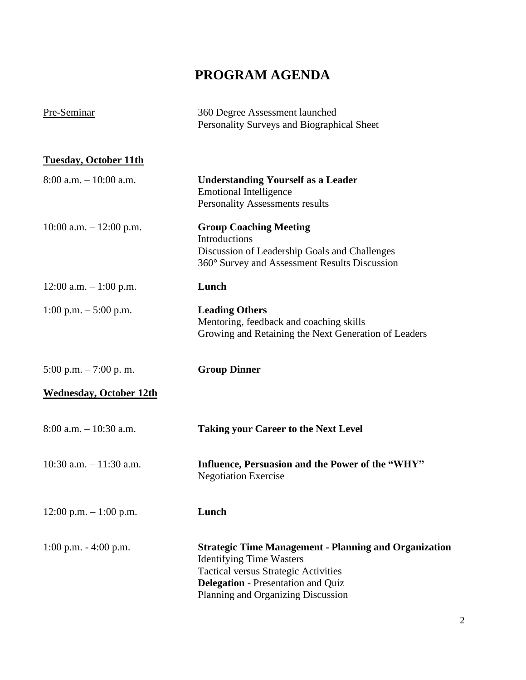## **PROGRAM AGENDA**

| Pre-Seminar                    | 360 Degree Assessment launched<br>Personality Surveys and Biographical Sheet                                                                                                                                                      |
|--------------------------------|-----------------------------------------------------------------------------------------------------------------------------------------------------------------------------------------------------------------------------------|
| <b>Tuesday, October 11th</b>   |                                                                                                                                                                                                                                   |
| $8:00$ a.m. $-10:00$ a.m.      | <b>Understanding Yourself as a Leader</b><br><b>Emotional Intelligence</b><br>Personality Assessments results                                                                                                                     |
| 10:00 a.m. $- 12:00$ p.m.      | <b>Group Coaching Meeting</b><br>Introductions<br>Discussion of Leadership Goals and Challenges<br>360° Survey and Assessment Results Discussion                                                                                  |
| $12:00$ a.m. $-1:00$ p.m.      | Lunch                                                                                                                                                                                                                             |
| 1:00 p.m. $-$ 5:00 p.m.        | <b>Leading Others</b><br>Mentoring, feedback and coaching skills<br>Growing and Retaining the Next Generation of Leaders                                                                                                          |
| 5:00 p.m. $-7:00$ p.m.         | <b>Group Dinner</b>                                                                                                                                                                                                               |
| <b>Wednesday, October 12th</b> |                                                                                                                                                                                                                                   |
| $8:00$ a.m. $-10:30$ a.m.      | <b>Taking your Career to the Next Level</b>                                                                                                                                                                                       |
| 10:30 a.m. $-11:30$ a.m.       | Influence, Persuasion and the Power of the "WHY"<br><b>Negotiation Exercise</b>                                                                                                                                                   |
| $12:00$ p.m. $-1:00$ p.m.      | Lunch                                                                                                                                                                                                                             |
| $1:00$ p.m. $-4:00$ p.m.       | <b>Strategic Time Management - Planning and Organization</b><br><b>Identifying Time Wasters</b><br><b>Tactical versus Strategic Activities</b><br><b>Delegation</b> - Presentation and Quiz<br>Planning and Organizing Discussion |